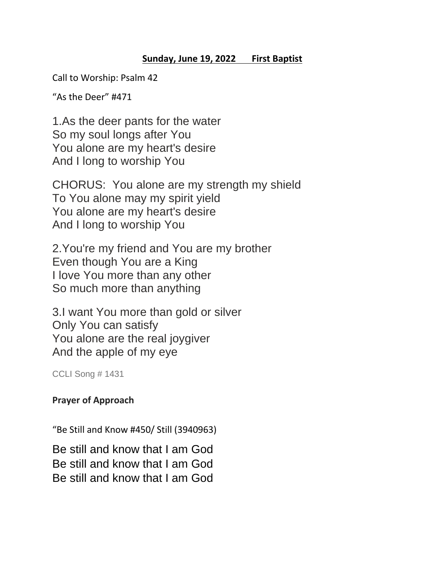## **Sunday, June 19, 2022 First Baptist**

Call to Worship: Psalm 42

"As the Deer" #471

1.As the deer pants for the water So my soul longs after You You alone are my heart's desire And I long to worship You

CHORUS: You alone are my strength my shield To You alone may my spirit yield You alone are my heart's desire And I long to worship You

2.You're my friend and You are my brother Even though You are a King I love You more than any other So much more than anything

3.I want You more than gold or silver Only You can satisfy You alone are the real joygiver And the apple of my eye

CCLI Song # 1431

## **Prayer of Approach**

"Be Still and Know #450/ Still (3940963)

Be still and know that I am God Be still and know that I am God Be still and know that I am God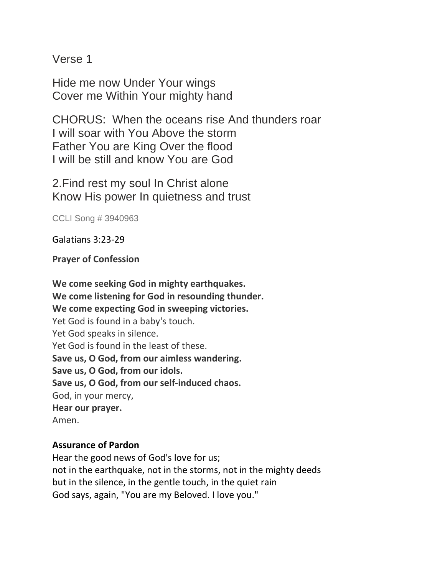Verse 1

Hide me now Under Your wings Cover me Within Your mighty hand

CHORUS: When the oceans rise And thunders roar I will soar with You Above the storm Father You are King Over the flood I will be still and know You are God

2.Find rest my soul In Christ alone Know His power In quietness and trust

CCLI Song # 3940963

Galatians 3:23-29

**Prayer of Confession**

**We come seeking God in mighty earthquakes. We come listening for God in resounding thunder. We come expecting God in sweeping victories.** Yet God is found in a baby's touch. Yet God speaks in silence. Yet God is found in the least of these. **Save us, O God, from our aimless wandering. Save us, O God, from our idols. Save us, O God, from our self-induced chaos.** God, in your mercy, **Hear our prayer.** Amen.

## **Assurance of Pardon**

Hear the good news of God's love for us; not in the earthquake, not in the storms, not in the mighty deeds but in the silence, in the gentle touch, in the quiet rain God says, again, "You are my Beloved. I love you."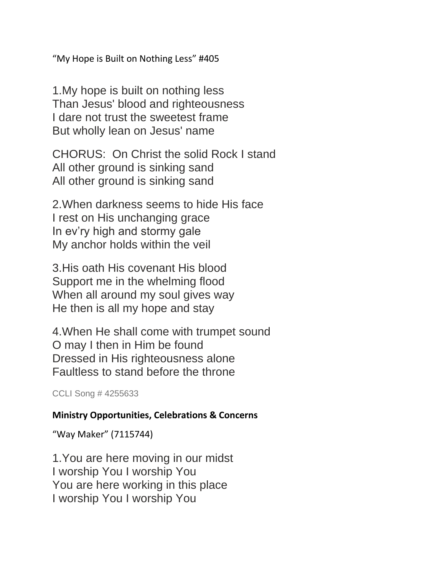"My Hope is Built on Nothing Less" #405

1.My hope is built on nothing less Than Jesus' blood and righteousness I dare not trust the sweetest frame But wholly lean on Jesus' name

CHORUS: On Christ the solid Rock I stand All other ground is sinking sand All other ground is sinking sand

2.When darkness seems to hide His face I rest on His unchanging grace In ev'ry high and stormy gale My anchor holds within the veil

3.His oath His covenant His blood Support me in the whelming flood When all around my soul gives way He then is all my hope and stay

4.When He shall come with trumpet sound O may I then in Him be found Dressed in His righteousness alone Faultless to stand before the throne

CCLI Song # 4255633

#### **Ministry Opportunities, Celebrations & Concerns**

"Way Maker" (7115744)

1.You are here moving in our midst I worship You I worship You You are here working in this place I worship You I worship You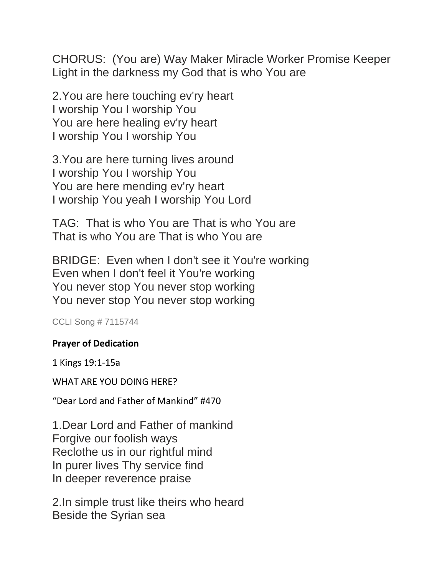CHORUS: (You are) Way Maker Miracle Worker Promise Keeper Light in the darkness my God that is who You are

2.You are here touching ev'ry heart I worship You I worship You You are here healing ev'ry heart I worship You I worship You

3.You are here turning lives around I worship You I worship You You are here mending ev'ry heart I worship You yeah I worship You Lord

TAG: That is who You are That is who You are That is who You are That is who You are

BRIDGE: Even when I don't see it You're working Even when I don't feel it You're working You never stop You never stop working You never stop You never stop working

CCLI Song # 7115744

# **Prayer of Dedication**

1 Kings 19:1-15a

WHAT ARE YOU DOING HERE?

"Dear Lord and Father of Mankind" #470

1.Dear Lord and Father of mankind Forgive our foolish ways Reclothe us in our rightful mind In purer lives Thy service find In deeper reverence praise

2.In simple trust like theirs who heard Beside the Syrian sea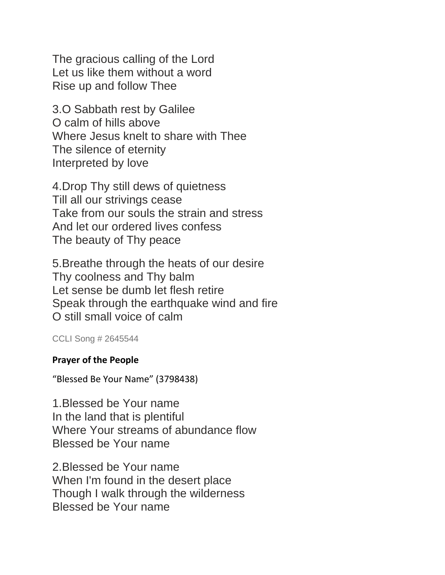The gracious calling of the Lord Let us like them without a word Rise up and follow Thee

3.O Sabbath rest by Galilee O calm of hills above Where Jesus knelt to share with Thee The silence of eternity Interpreted by love

4.Drop Thy still dews of quietness Till all our strivings cease Take from our souls the strain and stress And let our ordered lives confess The beauty of Thy peace

5.Breathe through the heats of our desire Thy coolness and Thy balm Let sense be dumb let flesh retire Speak through the earthquake wind and fire O still small voice of calm

CCLI Song # 2645544

## **Prayer of the People**

"Blessed Be Your Name" (3798438)

1.Blessed be Your name In the land that is plentiful Where Your streams of abundance flow Blessed be Your name

2.Blessed be Your name When I'm found in the desert place Though I walk through the wilderness Blessed be Your name